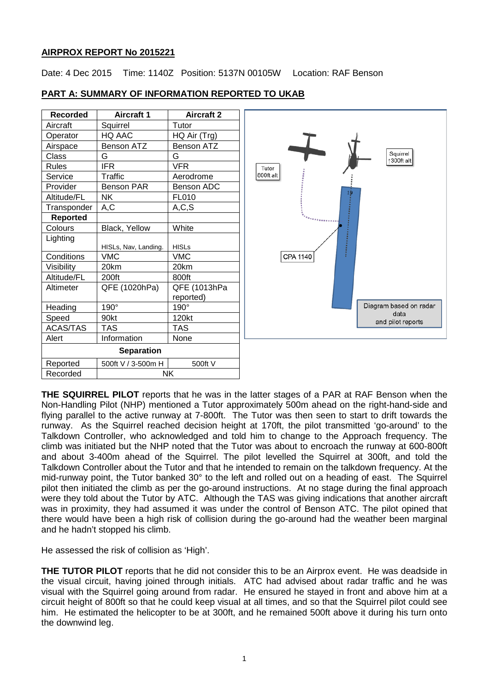### **AIRPROX REPORT No 2015221**

Date: 4 Dec 2015 Time: 1140Z Position: 5137N 00105W Location: RAF Benson

| <b>Recorded</b>   | <b>Aircraft 1</b>    | <b>Aircraft 2</b> |  |  |
|-------------------|----------------------|-------------------|--|--|
| Aircraft          | Squirrel             | Tutor             |  |  |
| Operator          | HQ AAC               | HQ Air (Trg)      |  |  |
| Airspace          | <b>Benson ATZ</b>    | <b>Benson ATZ</b> |  |  |
| Class             | G                    | G                 |  |  |
| <b>Rules</b>      | <b>IFR</b>           | VFR               |  |  |
| Service           | Traffic              | Aerodrome         |  |  |
| Provider          | <b>Benson PAR</b>    | <b>Benson ADC</b> |  |  |
| Altitude/FL       | <b>NK</b>            | <b>FL010</b>      |  |  |
| Transponder       | A,C                  | A, C, S           |  |  |
| <b>Reported</b>   |                      |                   |  |  |
| Colours           | Black, Yellow        | White             |  |  |
| Lighting          |                      |                   |  |  |
|                   | HISLs, Nav, Landing. | <b>HISLs</b>      |  |  |
| Conditions        | <b>VMC</b>           | <b>VMC</b>        |  |  |
| Visibility        | 20km                 | 20km              |  |  |
| Altitude/FL       | 200ft                | 800ft             |  |  |
| Altimeter         | QFE (1020hPa)        | QFE (1013hPa      |  |  |
|                   |                      | reported)         |  |  |
| Heading           | 190°                 | $190^\circ$       |  |  |
| Speed             | 90kt                 | 120kt             |  |  |
| <b>ACAS/TAS</b>   | TAS                  | TAS               |  |  |
| Alert             | Information          | None              |  |  |
| <b>Separation</b> |                      |                   |  |  |
| Reported          | 500ft V / 3-500m H   | 500ft V           |  |  |
| Recorded          | NK                   |                   |  |  |
|                   |                      |                   |  |  |

## **PART A: SUMMARY OF INFORMATION REPORTED TO UKAB**



**THE SQUIRREL PILOT** reports that he was in the latter stages of a PAR at RAF Benson when the Non-Handling Pilot (NHP) mentioned a Tutor approximately 500m ahead on the right-hand-side and flying parallel to the active runway at 7-800ft. The Tutor was then seen to start to drift towards the runway. As the Squirrel reached decision height at 170ft, the pilot transmitted 'go-around' to the Talkdown Controller, who acknowledged and told him to change to the Approach frequency. The climb was initiated but the NHP noted that the Tutor was about to encroach the runway at 600-800ft and about 3-400m ahead of the Squirrel. The pilot levelled the Squirrel at 300ft, and told the Talkdown Controller about the Tutor and that he intended to remain on the talkdown frequency. At the mid-runway point, the Tutor banked 30° to the left and rolled out on a heading of east. The Squirrel pilot then initiated the climb as per the go-around instructions. At no stage during the final approach were they told about the Tutor by ATC. Although the TAS was giving indications that another aircraft was in proximity, they had assumed it was under the control of Benson ATC. The pilot opined that there would have been a high risk of collision during the go-around had the weather been marginal and he hadn't stopped his climb.

He assessed the risk of collision as 'High'.

**THE TUTOR PILOT** reports that he did not consider this to be an Airprox event. He was deadside in the visual circuit, having joined through initials. ATC had advised about radar traffic and he was visual with the Squirrel going around from radar. He ensured he stayed in front and above him at a circuit height of 800ft so that he could keep visual at all times, and so that the Squirrel pilot could see him. He estimated the helicopter to be at 300ft, and he remained 500ft above it during his turn onto the downwind leg.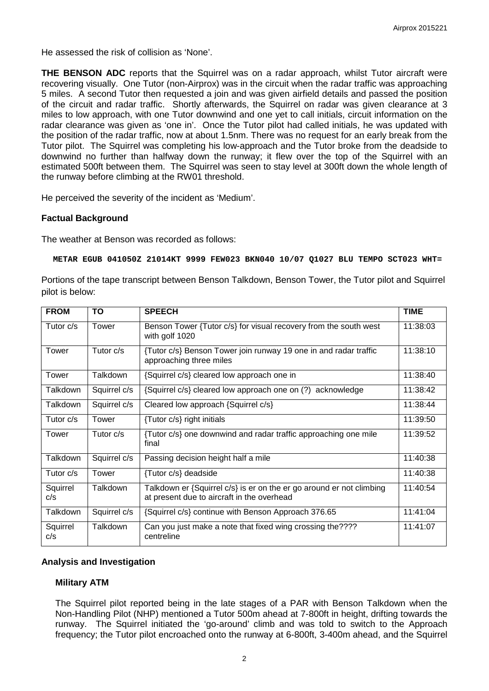He assessed the risk of collision as 'None'.

**THE BENSON ADC** reports that the Squirrel was on a radar approach, whilst Tutor aircraft were recovering visually. One Tutor (non-Airprox) was in the circuit when the radar traffic was approaching 5 miles. A second Tutor then requested a join and was given airfield details and passed the position of the circuit and radar traffic. Shortly afterwards, the Squirrel on radar was given clearance at 3 miles to low approach, with one Tutor downwind and one yet to call initials, circuit information on the radar clearance was given as 'one in'. Once the Tutor pilot had called initials, he was updated with the position of the radar traffic, now at about 1.5nm. There was no request for an early break from the Tutor pilot. The Squirrel was completing his low-approach and the Tutor broke from the deadside to downwind no further than halfway down the runway; it flew over the top of the Squirrel with an estimated 500ft between them. The Squirrel was seen to stay level at 300ft down the whole length of the runway before climbing at the RW01 threshold.

He perceived the severity of the incident as 'Medium'.

### **Factual Background**

The weather at Benson was recorded as follows:

**METAR EGUB 041050Z 21014KT 9999 FEW023 BKN040 10/07 Q1027 BLU TEMPO SCT023 WHT=**

Portions of the tape transcript between Benson Talkdown, Benson Tower, the Tutor pilot and Squirrel pilot is below:

| <b>FROM</b>     | ΤO           | <b>SPEECH</b>                                                                                                      | <b>TIME</b> |
|-----------------|--------------|--------------------------------------------------------------------------------------------------------------------|-------------|
| Tutor c/s       | Tower        | Benson Tower {Tutor c/s} for visual recovery from the south west<br>with golf 1020                                 | 11:38:03    |
| Tower           | Tutor $c/s$  | {Tutor c/s} Benson Tower join runway 19 one in and radar traffic<br>approaching three miles                        | 11:38:10    |
| Tower           | Talkdown     | {Squirrel c/s} cleared low approach one in                                                                         | 11:38:40    |
| Talkdown        | Squirrel c/s | {Squirrel c/s} cleared low approach one on (?) acknowledge                                                         | 11:38:42    |
| Talkdown        | Squirrel c/s | Cleared low approach {Squirrel c/s}                                                                                | 11:38:44    |
| Tutor $c/s$     | Tower        | {Tutor c/s} right initials                                                                                         | 11:39:50    |
| Tower           | Tutor $c/s$  | {Tutor c/s} one downwind and radar traffic approaching one mile<br>final                                           | 11:39:52    |
| Talkdown        | Squirrel c/s | Passing decision height half a mile                                                                                | 11:40:38    |
| Tutor c/s       | Tower        | {Tutor c/s} deadside                                                                                               | 11:40:38    |
| Squirrel<br>c/s | Talkdown     | Talkdown er {Squirrel c/s} is er on the er go around er not climbing<br>at present due to aircraft in the overhead | 11:40:54    |
| Talkdown        | Squirrel c/s | {Squirrel c/s} continue with Benson Approach 376.65                                                                | 11:41:04    |
| Squirrel<br>c/s | Talkdown     | Can you just make a note that fixed wing crossing the????<br>centreline                                            | 11:41:07    |

### **Analysis and Investigation**

### **Military ATM**

The Squirrel pilot reported being in the late stages of a PAR with Benson Talkdown when the Non-Handling Pilot (NHP) mentioned a Tutor 500m ahead at 7-800ft in height, drifting towards the runway. The Squirrel initiated the 'go-around' climb and was told to switch to the Approach frequency; the Tutor pilot encroached onto the runway at 6-800ft, 3-400m ahead, and the Squirrel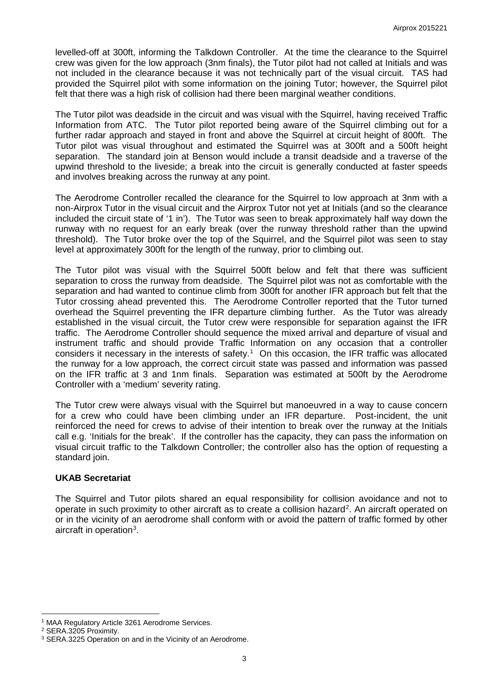levelled-off at 300ft, informing the Talkdown Controller. At the time the clearance to the Squirrel crew was given for the low approach (3nm finals), the Tutor pilot had not called at Initials and was not included in the clearance because it was not technically part of the visual circuit. TAS had provided the Squirrel pilot with some information on the joining Tutor; however, the Squirrel pilot felt that there was a high risk of collision had there been marginal weather conditions.

The Tutor pilot was deadside in the circuit and was visual with the Squirrel, having received Traffic Information from ATC. The Tutor pilot reported being aware of the Squirrel climbing out for a further radar approach and stayed in front and above the Squirrel at circuit height of 800ft. The Tutor pilot was visual throughout and estimated the Squirrel was at 300ft and a 500ft height separation. The standard join at Benson would include a transit deadside and a traverse of the upwind threshold to the liveside; a break into the circuit is generally conducted at faster speeds and involves breaking across the runway at any point.

The Aerodrome Controller recalled the clearance for the Squirrel to low approach at 3nm with a non-Airprox Tutor in the visual circuit and the Airprox Tutor not yet at Initials (and so the clearance included the circuit state of '1 in'). The Tutor was seen to break approximately half way down the runway with no request for an early break (over the runway threshold rather than the upwind threshold). The Tutor broke over the top of the Squirrel, and the Squirrel pilot was seen to stay level at approximately 300ft for the length of the runway, prior to climbing out.

The Tutor pilot was visual with the Squirrel 500ft below and felt that there was sufficient separation to cross the runway from deadside. The Squirrel pilot was not as comfortable with the separation and had wanted to continue climb from 300ft for another IFR approach but felt that the Tutor crossing ahead prevented this. The Aerodrome Controller reported that the Tutor turned overhead the Squirrel preventing the IFR departure climbing further. As the Tutor was already established in the visual circuit, the Tutor crew were responsible for separation against the IFR traffic. The Aerodrome Controller should sequence the mixed arrival and departure of visual and instrument traffic and should provide Traffic Information on any occasion that a controller considers it necessary in the interests of safety.<sup>[1](#page-2-0)</sup> On this occasion, the IFR traffic was allocated the runway for a low approach, the correct circuit state was passed and information was passed on the IFR traffic at 3 and 1nm finals. Separation was estimated at 500ft by the Aerodrome Controller with a 'medium' severity rating.

The Tutor crew were always visual with the Squirrel but manoeuvred in a way to cause concern for a crew who could have been climbing under an IFR departure. Post-incident, the unit reinforced the need for crews to advise of their intention to break over the runway at the Initials call e.g. 'Initials for the break'. If the controller has the capacity, they can pass the information on visual circuit traffic to the Talkdown Controller; the controller also has the option of requesting a standard join.

### **UKAB Secretariat**

The Squirrel and Tutor pilots shared an equal responsibility for collision avoidance and not to operate in such proximity to other aircraft as to create a collision hazard<sup>[2](#page-2-1)</sup>. An aircraft operated on or in the vicinity of an aerodrome shall conform with or avoid the pattern of traffic formed by other aircraft in operation<sup>[3](#page-2-2)</sup>.

 $\overline{\phantom{a}}$ 

<span id="page-2-0"></span><sup>&</sup>lt;sup>1</sup> MAA Regulatory Article 3261 Aerodrome Services.

<span id="page-2-1"></span><sup>2</sup> SERA.3205 Proximity.

<span id="page-2-2"></span><sup>&</sup>lt;sup>3</sup> SERA.3225 Operation on and in the Vicinity of an Aerodrome.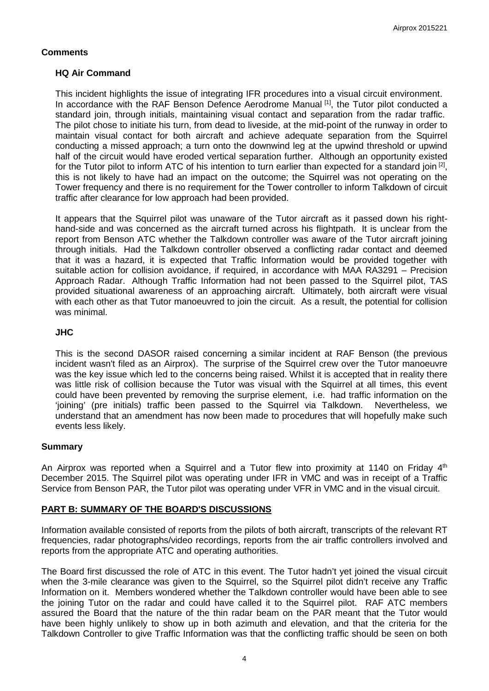## **Comments**

## **HQ Air Command**

This incident highlights the issue of integrating IFR procedures into a visual circuit environment. In accordance with the RAF Benson Defence Aerodrome Manual [1], the Tutor pilot conducted a standard join, through initials, maintaining visual contact and separation from the radar traffic. The pilot chose to initiate his turn, from dead to liveside, at the mid-point of the runway in order to maintain visual contact for both aircraft and achieve adequate separation from the Squirrel conducting a missed approach; a turn onto the downwind leg at the upwind threshold or upwind half of the circuit would have eroded vertical separation further. Although an opportunity existed for the Tutor pilot to inform ATC of his intention to turn earlier than expected for a standard join  $[2]$ , this is not likely to have had an impact on the outcome; the Squirrel was not operating on the Tower frequency and there is no requirement for the Tower controller to inform Talkdown of circuit traffic after clearance for low approach had been provided.

It appears that the Squirrel pilot was unaware of the Tutor aircraft as it passed down his righthand-side and was concerned as the aircraft turned across his flightpath. It is unclear from the report from Benson ATC whether the Talkdown controller was aware of the Tutor aircraft joining through initials. Had the Talkdown controller observed a conflicting radar contact and deemed that it was a hazard, it is expected that Traffic Information would be provided together with suitable action for collision avoidance, if required, in accordance with MAA RA3291 – Precision Approach Radar. Although Traffic Information had not been passed to the Squirrel pilot, TAS provided situational awareness of an approaching aircraft. Ultimately, both aircraft were visual with each other as that Tutor manoeuvred to join the circuit. As a result, the potential for collision was minimal.

## **JHC**

This is the second DASOR raised concerning a similar incident at RAF Benson (the previous incident wasn't filed as an Airprox). The surprise of the Squirrel crew over the Tutor manoeuvre was the key issue which led to the concerns being raised. Whilst it is accepted that in reality there was little risk of collision because the Tutor was visual with the Squirrel at all times, this event could have been prevented by removing the surprise element, i.e. had traffic information on the 'joining' (pre initials) traffic been passed to the Squirrel via Talkdown. Nevertheless, we understand that an amendment has now been made to procedures that will hopefully make such events less likely.

## **Summary**

An Airprox was reported when a Squirrel and a Tutor flew into proximity at 1140 on Friday 4<sup>th</sup> December 2015. The Squirrel pilot was operating under IFR in VMC and was in receipt of a Traffic Service from Benson PAR, the Tutor pilot was operating under VFR in VMC and in the visual circuit.

# **PART B: SUMMARY OF THE BOARD'S DISCUSSIONS**

Information available consisted of reports from the pilots of both aircraft, transcripts of the relevant RT frequencies, radar photographs/video recordings, reports from the air traffic controllers involved and reports from the appropriate ATC and operating authorities.

The Board first discussed the role of ATC in this event. The Tutor hadn't yet joined the visual circuit when the 3-mile clearance was given to the Squirrel, so the Squirrel pilot didn't receive any Traffic Information on it. Members wondered whether the Talkdown controller would have been able to see the joining Tutor on the radar and could have called it to the Squirrel pilot. RAF ATC members assured the Board that the nature of the thin radar beam on the PAR meant that the Tutor would have been highly unlikely to show up in both azimuth and elevation, and that the criteria for the Talkdown Controller to give Traffic Information was that the conflicting traffic should be seen on both